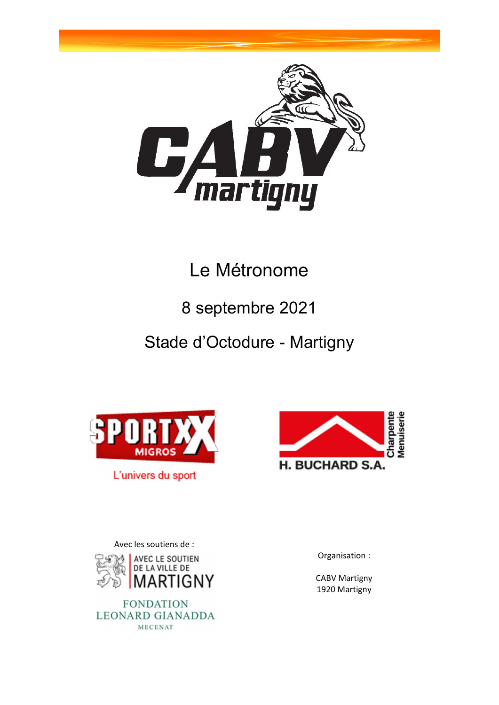

# Le Métronome

# 8 septembre 2021

# Stade d'Octodure - Martigny



L'univers du sport



Avec les soutiens de :



**FONDATION LEONARD GIANADDA** MECENAT

Organisation :

CABV Martigny 1920 Martigny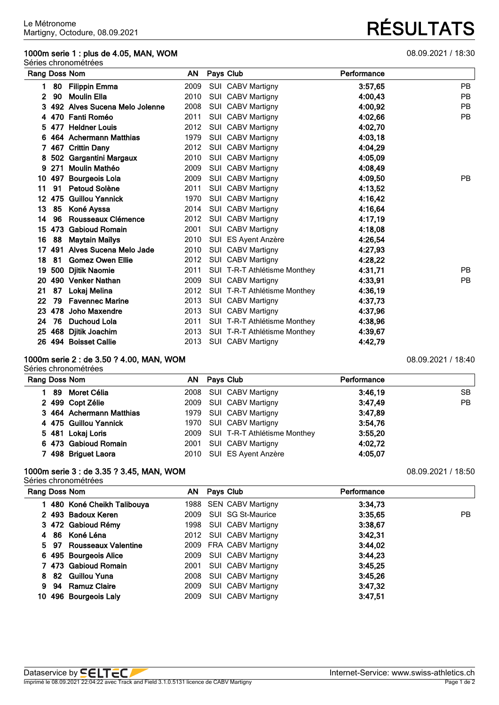### **1000m serie 1 : plus de 4.05, MAN, WOM** 08.09.2021 / 18:30

Séries chronométrées

|                 |     | Rang Doss Nom                 | AN   | Pays Club                    | Performance |           |
|-----------------|-----|-------------------------------|------|------------------------------|-------------|-----------|
| 1.              | 80  | <b>Filippin Emma</b>          | 2009 | SUI CABV Martigny            | 3:57,65     | <b>PB</b> |
| 2               | 90  | <b>Moulin Ella</b>            | 2010 | SUI CABV Martigny            | 4:00,43     | <b>PB</b> |
|                 |     | 492 Alves Sucena Melo Jolenne | 2008 | SUI CABV Martigny            | 4:00,92     | <b>PB</b> |
| 4               |     | 470 Fanti Roméo               | 2011 | SUI CABV Martigny            | 4:02,66     | <b>PB</b> |
| 5               |     | 477 Heldner Louis             | 2012 | SUI CABV Martigny            | 4:02,70     |           |
| 6               |     | 464 Achermann Matthias        | 1979 | SUI CABV Martigny            | 4:03,18     |           |
|                 |     | 467 Crittin Dany              | 2012 | <b>SUI CABV Martigny</b>     | 4:04,29     |           |
| 8               |     | 502 Gargantini Margaux        | 2010 | SUI CABV Martigny            | 4:05.09     |           |
| 9               | 271 | <b>Moulin Mathéo</b>          | 2009 | <b>SUI CABV Martigny</b>     | 4:08.49     |           |
| 10              | 497 | <b>Bourgeois Lola</b>         | 2009 | <b>SUI CABV Martigny</b>     | 4:09,50     | <b>PB</b> |
| 11              | 91  | <b>Petoud Solène</b>          | 2011 | SUI CABV Martigny            | 4:13,52     |           |
| 12 <sup>2</sup> | 475 | <b>Guillou Yannick</b>        | 1970 | SUI CABV Martigny            | 4:16,42     |           |
| 13              | 85  | Koné Ayssa                    | 2014 | SUI CABV Martigny            | 4:16,64     |           |
| 14              | 96  | Rousseaux Clémence            | 2012 | SUI CABV Martigny            | 4:17,19     |           |
| 15              | 473 | <b>Gabioud Romain</b>         | 2001 | SUI CABV Martigny            | 4:18,08     |           |
| 16              | 88  | <b>Maytain Mailys</b>         | 2010 | SUI ES Ayent Anzère          | 4:26,54     |           |
| 17              |     | 491 Alves Sucena Melo Jade    | 2010 | <b>SUI CABV Martigny</b>     | 4:27,93     |           |
| 18              | 81  | <b>Gomez Owen Ellie</b>       | 2012 | SUI CABV Martigny            | 4:28,22     |           |
| 19              | 500 | <b>Djitik Naomie</b>          | 2011 | SUI T-R-T Athlétisme Monthey | 4:31,71     | <b>PB</b> |
| 20              |     | 490 Venker Nathan             | 2009 | SUI CABV Martigny            | 4:33.91     | <b>PB</b> |
| 21              | 87  | Lokaj Melina                  | 2012 | SUI T-R-T Athlétisme Monthey | 4:36,19     |           |
| 22              | 79  | <b>Favennec Marine</b>        | 2013 | SUI CABV Martigny            | 4:37,73     |           |
| 23              | 478 | Joho Maxendre                 | 2013 | SUI CABV Martigny            | 4:37,96     |           |
| 24              | 76  | <b>Duchoud Lola</b>           | 2011 | SUI T-R-T Athlétisme Monthey | 4:38,96     |           |
| 25              | 468 | Djitik Joachim                | 2013 | SUI T-R-T Athlétisme Monthey | 4:39,67     |           |
|                 |     | 26 494 Boisset Callie         | 2013 | SUI CABV Martigny            | 4:42,79     |           |

#### **1000m serie 2 : de 3.50 ? 4.00, MAN, WOM** 08.09.2021 / 18:40

Séries chronométrées

**Rang Doss Nom AN Pays Club Performance 89 Moret Célia** 2008 SUI CABV Martigny **3:46,19** SB **499 Copt Zélie** 2009 SUI CABV Martigny **3:47,49** PB **464 Achermann Matthias** 1979 SUI CABV Martigny **3:47,89 475 Guillou Yannick** 1970 SUI CABV Martigny **3:54,76 481 Lokaj Loris** 2009 SUI T-R-T Athlétisme Monthey **3:55,20 473 Gabioud Romain** 2001 SUI CABV Martigny **4:02,72 498 Briguet Laora** 2010 SUI ES Ayent Anzère **4:05,07**

### **1000m serie 3 : de 3.35 ? 3.45, MAN, WOM** 08.09.2021 / 18:50

Séries chronométrées

| Rang Doss Nom |                             | AN Pays Club           | Performance |     |
|---------------|-----------------------------|------------------------|-------------|-----|
|               | 1 480 Koné Cheikh Talibouya | 1988 SEN CABV Martigny | 3:34,73     |     |
|               | 2 493 Badoux Keren          | 2009 SUI SG St-Maurice | 3:35.65     | PB. |
|               | 3 472 Gabioud Rémy          | 1998 SUI CABV Martigny | 3:38,67     |     |
|               | 4 86 Koné Léna              | 2012 SUI CABV Martigny | 3:42.31     |     |
|               | 5 97 Rousseaux Valentine    | 2009 FRA CABV Martigny | 3:44.02     |     |
|               | 6 495 Bourgeois Alice       | 2009 SUI CABV Martigny | 3:44.23     |     |
|               | 7 473 Gabioud Romain        | 2001 SUI CABV Martigny | 3:45,25     |     |
|               | 8 82 Guillou Yuna           | 2008 SUI CABV Martigny | 3:45,26     |     |
|               | 9 94 Ramuz Claire           | 2009 SUI CABV Martigny | 3:47,32     |     |
|               | 10 496 Bourgeois Laly       | 2009 SUI CABV Martigny | 3:47.51     |     |